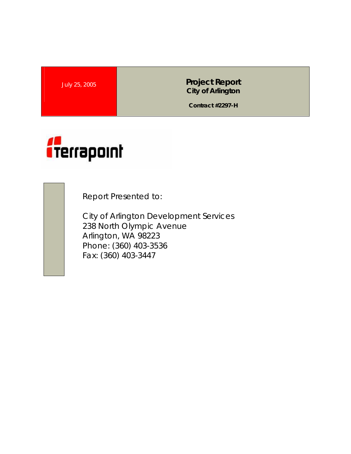July 25, 2005 **Project Report City of Arlington** 

**Contract #2297-H** 



Report Presented to:

City of Arlington Development Services 238 North Olympic Avenue Arlington, WA 98223 Phone: (360) 403-3536 Fax: (360) 403-3447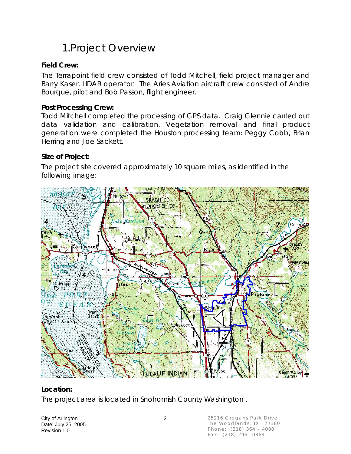### 1.Project Overview

### **Field Crew:**

The Terrapoint field crew consisted of Todd Mitchell, field project manager and Barry Kaser, LIDAR operator. The Aries Aviation aircraft crew consisted of Andre Bourque, pilot and Bob Passon, flight engineer.

#### **Post Processing Crew:**

Todd Mitchell completed the processing of GPS data. Craig Glennie carried out data validation and calibration. Vegetation removal and final product generation were completed the Houston processing team: Peggy Cobb, Brian Herring and Joe Sackett.

#### **Size of Project:**

The project site covered approximately 10 square miles, as identified in the following image:



### **Location:**

The project area is located in Snohomish County Washington .

City of Arlington 2 Date: July 25, 2005 Revision 1.0

25216 Grogans Park Drive The Woodlands, TX 77380 Phone: (218) 364 – 4080 Fax: (218) 296– 0869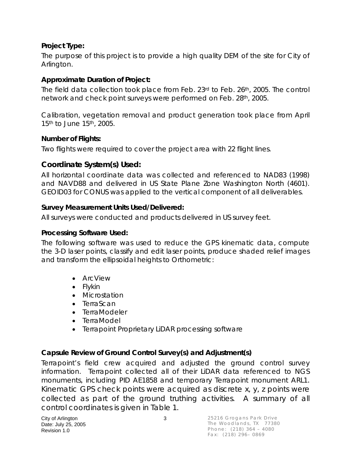### **Project Type:**

The purpose of this project is to provide a high quality DEM of the site for City of Arlington.

### **Approximate Duration of Project:**

The field data collection took place from Feb. 23rd to Feb. 26th, 2005. The control network and check point surveys were performed on Feb. 28th, 2005.

Calibration, vegetation removal and product generation took place from April 15<sup>th</sup> to June 15<sup>th</sup>, 2005.

#### **Number of Flights:**

Two flights were required to cover the project area with 22 flight lines.

### **Coordinate System(s) Used:**

All horizontal coordinate data was collected and referenced to NAD83 (1998) and NAVD88 and delivered in US State Plane Zone Washington North (4601). GEOID03 for CONUS was applied to the vertical component of all deliverables.

#### **Survey Measurement Units Used/Delivered:**

All surveys were conducted and products delivered in US survey feet.

#### **Processing Software Used:**

The following software was used to reduce the GPS kinematic data, compute the 3-D laser points, classify and edit laser points, produce shaded relief images and transform the ellipsoidal heights to Orthometric:

- ArcView
- Flykin
- Microstation
- TerraScan
- TerraModeler
- TerraModel
- Terrapoint Proprietary LiDAR processing software

### **Capsule Review of Ground Control Survey(s) and Adjustment(s)**

Terrapoint's field crew acquired and adjusted the ground control survey information. Terrapoint collected all of their LiDAR data referenced to NGS monuments, including PID AE1858 and temporary Terrapoint monument ARL1. Kinematic GPS check points were acquired as discrete x, y, z points were collected as part of the ground truthing activities. A summary of all control coordinates is given in Table 1.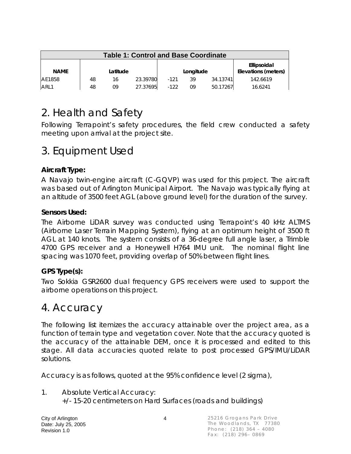| <b>Table 1: Control and Base Coordinate</b> |    |          |          |        |           |          |                                    |  |
|---------------------------------------------|----|----------|----------|--------|-----------|----------|------------------------------------|--|
| <b>NAME</b>                                 |    | Latitude |          |        | Longitude |          | Ellipsoidal<br>Elevations (meters) |  |
| AE1858                                      | 48 | 16       | 23.39780 | $-121$ | 39        | 34.13741 | 142.6619                           |  |
| ARL1                                        | 48 | 09       | 27.37695 | $-122$ | 09        | 50.17267 | 16.6241                            |  |

### 2. Health and Safety

Following Terrapoint's safety procedures, the field crew conducted a safety meeting upon arrival at the project site.

### 3. Equipment Used

### **Aircraft Type:**

A Navajo twin-engine aircraft (C-GQVP) was used for this project. The aircraft was based out of Arlington Municipal Airport. The Navajo was typically flying at an altitude of 3500 feet AGL (above ground level) for the duration of the survey.

#### **Sensors Used:**

The Airborne LiDAR survey was conducted using Terrapoint's 40 kHz ALTMS (Airborne Laser Terrain Mapping System), flying at an optimum height of 3500 ft AGL at 140 knots. The system consists of a 36-degree full angle laser, a Trimble 4700 GPS receiver and a Honeywell H764 IMU unit. The nominal flight line spacing was 1070 feet, providing overlap of 50% between flight lines.

### **GPS Type(s):**

Two Sokkia GSR2600 dual frequency GPS receivers were used to support the airborne operations on this project.

### 4. Accuracy

The following list itemizes the accuracy attainable over the project area, as a function of terrain type and vegetation cover. Note that the accuracy quoted is the accuracy of the attainable DEM, once it is processed and edited to this stage. All data accuracies quoted relate to post processed GPS/IMU/LiDAR solutions.

Accuracy is as follows, quoted at the 95% confidence level (2 sigma),

1. Absolute Vertical Accuracy: +/- 15-20 centimeters on Hard Surfaces (roads and buildings)

City of Arlington 4 Date: July 25, 2005 Revision 1.0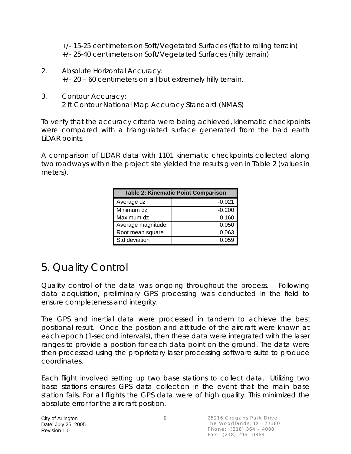+/- 15-25 centimeters on Soft/Vegetated Surfaces (flat to rolling terrain) +/- 25-40 centimeters on Soft/Vegetated Surfaces (hilly terrain)

- 2. Absolute Horizontal Accuracy: +/- 20 – 60 centimeters on all but extremely hilly terrain.
- 3. Contour Accuracy: 2 ft Contour National Map Accuracy Standard (NMAS)

To verify that the accuracy criteria were being achieved, kinematic checkpoints were compared with a triangulated surface generated from the bald earth LiDAR points.

A comparison of LIDAR data with 1101 kinematic checkpoints collected along two roadways within the project site yielded the results given in Table 2 (values in meters).

| <b>Table 2: Kinematic Point Comparison</b> |          |  |  |  |  |  |
|--------------------------------------------|----------|--|--|--|--|--|
| Average dz                                 | $-0.021$ |  |  |  |  |  |
| Minimum dz                                 | $-0.200$ |  |  |  |  |  |
| Maximum dz                                 | 0.160    |  |  |  |  |  |
| Average magnitude                          | 0.050    |  |  |  |  |  |
| Root mean square                           | 0.063    |  |  |  |  |  |
| Std deviation                              | 0.059    |  |  |  |  |  |

## 5. Quality Control

Quality control of the data was ongoing throughout the process. Following data acquisition, preliminary GPS processing was conducted in the field to ensure completeness and integrity.

The GPS and inertial data were processed in tandem to achieve the best positional result. Once the position and attitude of the aircraft were known at each epoch (1-second intervals), then these data were integrated with the laser ranges to provide a position for each data point on the ground. The data were then processed using the proprietary laser processing software suite to produce coordinates.

Each flight involved setting up two base stations to collect data. Utilizing two base stations ensures GPS data collection in the event that the main base station fails. For all flights the GPS data were of high quality. This minimized the absolute error for the aircraft position.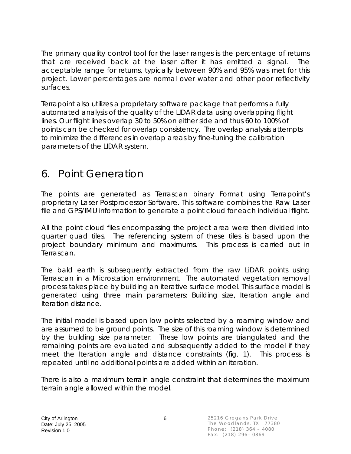The primary quality control tool for the laser ranges is the percentage of returns that are received back at the laser after it has emitted a signal. The acceptable range for returns, typically between 90% and 95% was met for this project. Lower percentages are normal over water and other poor reflectivity surfaces.

Terrapoint also utilizes a proprietary software package that performs a fully automated analysis of the quality of the LIDAR data using overlapping flight lines. Our flight lines overlap 30 to 50% on either side and thus 60 to 100% of points can be checked for overlap consistency. The overlap analysis attempts to minimize the differences in overlap areas by fine-tuning the calibration parameters of the LIDAR system.

### 6. Point Generation

The points are generated as Terrascan binary Format using Terrapoint's proprietary Laser Postprocessor Software. This software combines the Raw Laser file and GPS/IMU information to generate a point cloud for each individual flight.

All the point cloud files encompassing the project area were then divided into quarter quad tiles. The referencing system of these tiles is based upon the project boundary minimum and maximums. This process is carried out in Terrascan.

The bald earth is subsequently extracted from the raw LiDAR points using Terrascan in a Microstation environment. The automated vegetation removal process takes place by building an iterative surface model. This surface model is generated using three main parameters: Building size, Iteration angle and Iteration distance.

The initial model is based upon low points selected by a roaming window and are assumed to be ground points. The size of this roaming window is determined by the building size parameter. These low points are triangulated and the remaining points are evaluated and subsequently added to the model if they meet the Iteration angle and distance constraints (fig. 1). This process is repeated until no additional points are added within an iteration.

There is also a maximum terrain angle constraint that determines the maximum terrain angle allowed within the model.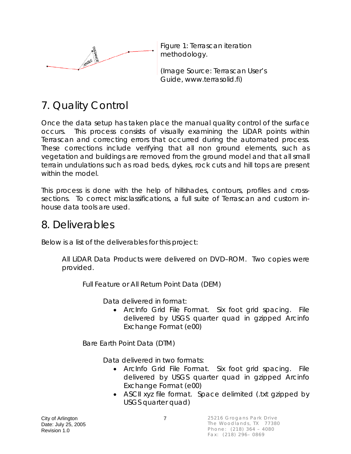

Figure 1: Terrascan iteration methodology.

(Image Source: Terrascan User's Guide, www.terrasolid.fi)

# 7. Quality Control

Once the data setup has taken place the manual quality control of the surface occurs. This process consists of visually examining the LiDAR points within Terrascan and correcting errors that occurred during the automated process. These corrections include verifying that all non ground elements, such as vegetation and buildings are removed from the ground model and that all small terrain undulations such as road beds, dykes, rock cuts and hill tops are present within the model.

This process is done with the help of hillshades, contours, profiles and crosssections. To correct misclassifications, a full suite of Terrascan and custom inhouse data tools are used.

### 8. Deliverables

Below is a list of the deliverables for this project:

All LiDAR Data Products were delivered on DVD–ROM. Two copies were provided.

Full Feature or All Return Point Data (DEM)

Data delivered in format:

• ArcInfo Grid File Format. Six foot grid spacing. File delivered by USGS quarter quad in gzipped Arcinfo Exchange Format (e00)

Bare Earth Point Data (DTM)

Data delivered in two formats:

- ArcInfo Grid File Format. Six foot grid spacing. File delivered by USGS quarter quad in gzipped Arcinfo Exchange Format (e00)
- ASCII xyz file format. Space delimited (.txt gzipped by USGS quarter quad)